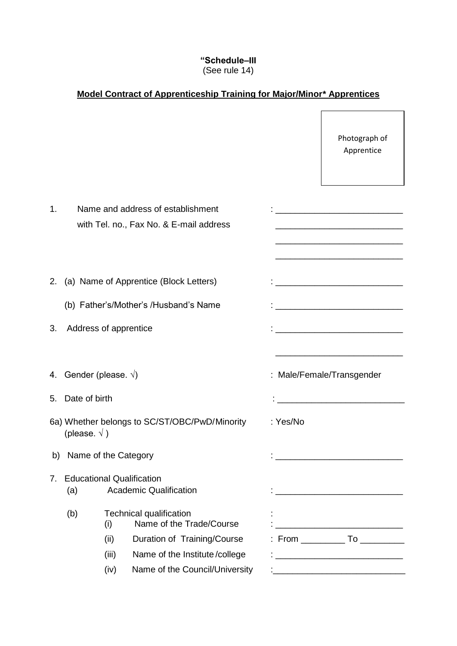## **"Schedule–III** (See rule 14)

## **Model Contract of Apprenticeship Training for Major/Minor\* Apprentices**

|    |                                 |                                                                   |                                                                              |          | Photograph of<br>Apprentice                                                                                                                                                                                      |
|----|---------------------------------|-------------------------------------------------------------------|------------------------------------------------------------------------------|----------|------------------------------------------------------------------------------------------------------------------------------------------------------------------------------------------------------------------|
| 1. |                                 |                                                                   | Name and address of establishment<br>with Tel. no., Fax No. & E-mail address |          | <u> 1989 - Johann John Stein, mars ar breithinn ar breithinn ar breithinn ar breithinn ar breithinn ar breithin</u><br>the control of the control of the control of the control of the control of the control of |
|    |                                 |                                                                   | 2. (a) Name of Apprentice (Block Letters)                                    |          | <u> 1980 - Johann Harrison, margaret eta idazlea (</u>                                                                                                                                                           |
|    |                                 |                                                                   | (b) Father's/Mother's /Husband's Name                                        |          |                                                                                                                                                                                                                  |
| 3. | Address of apprentice           |                                                                   |                                                                              |          | <u> 1989 - Johann Barbara, martxa alemaniar a</u>                                                                                                                                                                |
|    | 4. Gender (please. $\sqrt{ }$ ) |                                                                   |                                                                              |          | : Male/Female/Transgender                                                                                                                                                                                        |
|    | 5. Date of birth                |                                                                   |                                                                              |          |                                                                                                                                                                                                                  |
|    | (please. $\sqrt{}$ )            |                                                                   | 6a) Whether belongs to SC/ST/OBC/PwD/Minority                                | : Yes/No |                                                                                                                                                                                                                  |
|    | b) Name of the Category         |                                                                   |                                                                              |          |                                                                                                                                                                                                                  |
| 7. | (a)                             | <b>Educational Qualification</b><br><b>Academic Qualification</b> |                                                                              |          | <u> 1989 - Johann Barn, mars eta bat erroman erroman erroman erroman erroman erroman erroman erroman erroman err</u>                                                                                             |
|    | (b)                             | (i)                                                               | <b>Technical qualification</b><br>Name of the Trade/Course                   |          |                                                                                                                                                                                                                  |
|    |                                 | (ii)                                                              | Duration of Training/Course                                                  |          |                                                                                                                                                                                                                  |
|    |                                 | (iii)                                                             | Name of the Institute/college                                                |          |                                                                                                                                                                                                                  |
|    |                                 | (iv)                                                              | Name of the Council/University                                               |          | <u> 1980 - Jan James James Jan James James Jan James James Jan James James Jan James James Jan Jan Jan Jan Jan Ja</u>                                                                                            |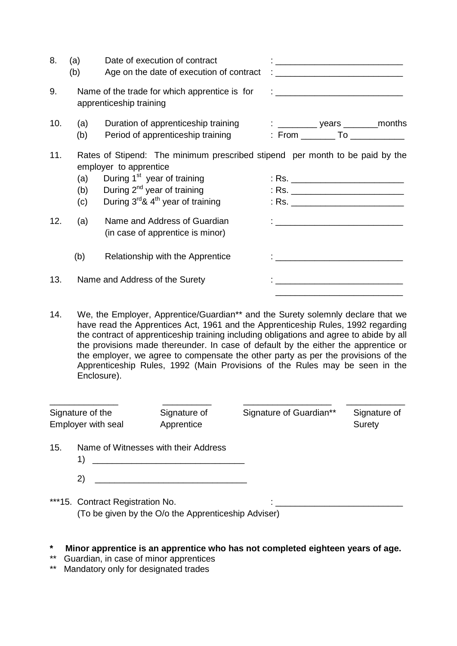| 8.  | (a)<br>(b)        | Date of execution of contract<br>Age on the date of execution of contract                                                                                                                                                                   |                                                                                                                                                                                                                                                                                                                                                                                                                                                              |
|-----|-------------------|---------------------------------------------------------------------------------------------------------------------------------------------------------------------------------------------------------------------------------------------|--------------------------------------------------------------------------------------------------------------------------------------------------------------------------------------------------------------------------------------------------------------------------------------------------------------------------------------------------------------------------------------------------------------------------------------------------------------|
| 9.  |                   | Name of the trade for which apprentice is for<br>apprenticeship training                                                                                                                                                                    | $\mathcal{L} = \mathcal{L} = \mathcal{L} = \mathcal{L} = \mathcal{L} = \mathcal{L} = \mathcal{L} = \mathcal{L} = \mathcal{L} = \mathcal{L} = \mathcal{L} = \mathcal{L} = \mathcal{L} = \mathcal{L} = \mathcal{L} = \mathcal{L} = \mathcal{L} = \mathcal{L} = \mathcal{L} = \mathcal{L} = \mathcal{L} = \mathcal{L} = \mathcal{L} = \mathcal{L} = \mathcal{L} = \mathcal{L} = \mathcal{L} = \mathcal{L} = \mathcal{L} = \mathcal{L} = \mathcal{L} = \mathcal$ |
| 10. | (a)<br>(b)        | Duration of apprenticeship training<br>Period of apprenticeship training                                                                                                                                                                    |                                                                                                                                                                                                                                                                                                                                                                                                                                                              |
| 11. | (a)<br>(b)<br>(c) | Rates of Stipend: The minimum prescribed stipend per month to be paid by the<br>employer to apprentice<br>During 1 <sup>st</sup> year of training<br>During $2^{nd}$ year of training<br>During $3^{rd}$ & 4 <sup>th</sup> year of training | : Rs. ______________________________<br>: Rs. _____________________________                                                                                                                                                                                                                                                                                                                                                                                  |
| 12. | (a)               | Name and Address of Guardian<br>(in case of apprentice is minor)                                                                                                                                                                            | $\mathbf{1}_{\{1,2,3,4,5\}}$ . The contract of the contract of $\mathbf{1}_{\{1,2,3,4,5\}}$                                                                                                                                                                                                                                                                                                                                                                  |
|     | (b)               | Relationship with the Apprentice                                                                                                                                                                                                            | <u> 1980 - Jan Stein Harry Harry Harry Harry Harry Harry Harry Harry Harry Harry Harry Harry Harry Harry</u>                                                                                                                                                                                                                                                                                                                                                 |
| 13. |                   | Name and Address of the Surety                                                                                                                                                                                                              |                                                                                                                                                                                                                                                                                                                                                                                                                                                              |

14. We, the Employer, Apprentice/Guardian\*\* and the Surety solemnly declare that we have read the Apprentices Act, 1961 and the Apprenticeship Rules, 1992 regarding the contract of apprenticeship training including obligations and agree to abide by all the provisions made thereunder. In case of default by the either the apprentice or the employer, we agree to compensate the other party as per the provisions of the Apprenticeship Rules, 1992 (Main Provisions of the Rules may be seen in the Enclosure).

 $\frac{1}{2}$  , and the contract of the contract of the contract of the contract of the contract of the contract of the contract of the contract of the contract of the contract of the contract of the contract of the contract

| Signature of the   |              | Signature of                         | Signature of Guardian** | Signature of |
|--------------------|--------------|--------------------------------------|-------------------------|--------------|
| Employer with seal |              | Apprentice                           |                         | Surety       |
| 15.                | $\mathbf{2}$ | Name of Witnesses with their Address |                         |              |

\*\*\*15. Contract Registration No. (To be given by the O/o the Apprenticeship Adviser)

- **\* Minor apprentice is an apprentice who has not completed eighteen years of age.**
- \*\* Guardian, in case of minor apprentices
- \*\* Mandatory only for designated trades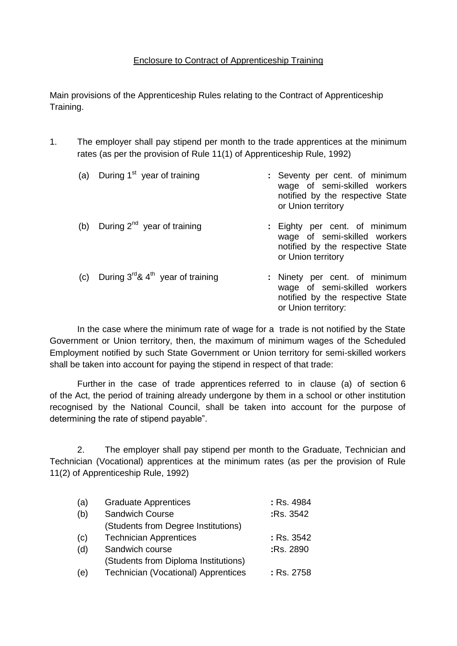## Enclosure to Contract of Apprenticeship Training

Main provisions of the Apprenticeship Rules relating to the Contract of Apprenticeship Training.

1. The employer shall pay stipend per month to the trade apprentices at the minimum rates (as per the provision of Rule 11(1) of Apprenticeship Rule, 1992)

| (a) | During 1 <sup>st</sup> year of training            | : Seventy per cent. of minimum<br>wage of semi-skilled workers<br>notified by the respective State<br>or Union territory |
|-----|----------------------------------------------------|--------------------------------------------------------------------------------------------------------------------------|
| (b) | During 2 <sup>nd</sup> year of training            | : Eighty per cent. of minimum<br>wage of semi-skilled workers<br>notified by the respective State<br>or Union territory  |
| (c) | During $3^{rd}$ & 4 <sup>th</sup> year of training | : Ninety per cent. of minimum<br>wage of semi-skilled workers<br>notified by the respective State<br>or Union territory: |

In the case where the minimum rate of wage for a trade is not notified by the State Government or Union territory, then, the maximum of minimum wages of the Scheduled Employment notified by such State Government or Union territory for semi-skilled workers shall be taken into account for paying the stipend in respect of that trade:

Further in the case of trade apprentices referred to in clause (a) of section 6 of the Act, the period of training already undergone by them in a school or other institution recognised by the National Council, shall be taken into account for the purpose of determining the rate of stipend payable".

2. The employer shall pay stipend per month to the Graduate, Technician and Technician (Vocational) apprentices at the minimum rates (as per the provision of Rule 11(2) of Apprenticeship Rule, 1992)

| (a) | <b>Graduate Apprentices</b>          | : Rs. 4984 |
|-----|--------------------------------------|------------|
| (b) | <b>Sandwich Course</b>               | :Rs. 3542  |
|     | (Students from Degree Institutions)  |            |
| (c) | <b>Technician Apprentices</b>        | : Rs. 3542 |
| (d) | Sandwich course                      | :Rs. 2890  |
|     | (Students from Diploma Institutions) |            |
| (e) | Technician (Vocational) Apprentices  | : Rs. 2758 |